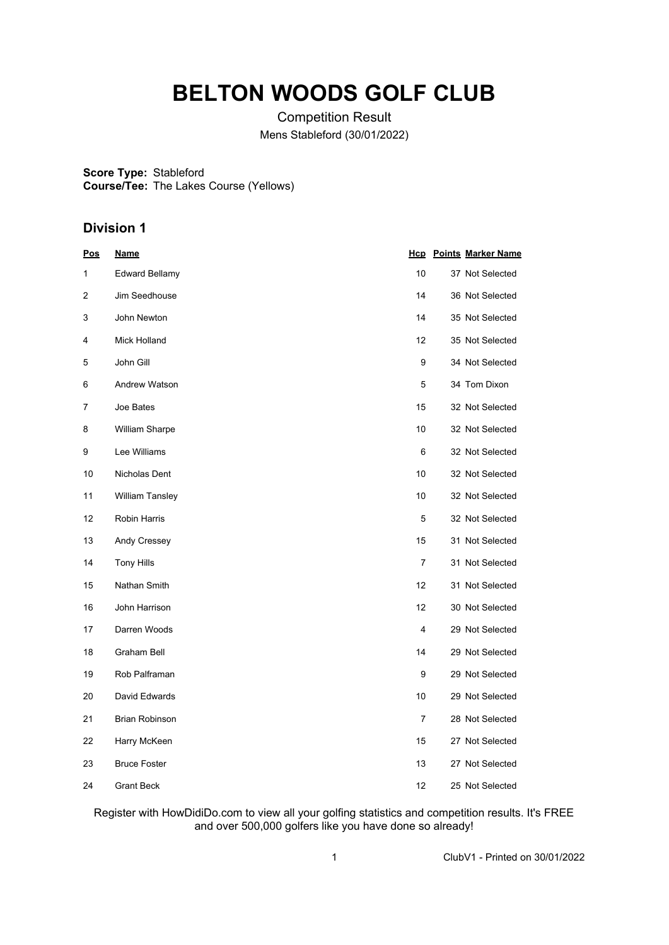# **BELTON WOODS GOLF CLUB**

Competition Result Mens Stableford (30/01/2022)

**Score Type:** Stableford **Course/Tee:** The Lakes Course (Yellows)

## **Division 1**

| <u>Pos</u> | <u>Name</u>            |                | <b>Hcp</b> Points Marker Name |
|------------|------------------------|----------------|-------------------------------|
| 1          | <b>Edward Bellamy</b>  | 10             | 37 Not Selected               |
| 2          | Jim Seedhouse          | 14             | 36 Not Selected               |
| 3          | John Newton            | 14             | 35 Not Selected               |
| 4          | Mick Holland           | 12             | 35 Not Selected               |
| 5          | John Gill              | 9              | 34 Not Selected               |
| 6          | Andrew Watson          | 5              | 34 Tom Dixon                  |
| 7          | Joe Bates              | 15             | 32 Not Selected               |
| 8          | <b>William Sharpe</b>  | 10             | 32 Not Selected               |
| 9          | Lee Williams           | 6              | 32 Not Selected               |
| 10         | Nicholas Dent          | 10             | 32 Not Selected               |
| 11         | <b>William Tansley</b> | 10             | 32 Not Selected               |
| 12         | Robin Harris           | 5              | 32 Not Selected               |
| 13         | Andy Cressey           | 15             | 31 Not Selected               |
| 14         | <b>Tony Hills</b>      | $\overline{7}$ | 31 Not Selected               |
| 15         | Nathan Smith           | 12             | 31 Not Selected               |
| 16         | John Harrison          | 12             | 30 Not Selected               |
| 17         | Darren Woods           | 4              | 29 Not Selected               |
| 18         | Graham Bell            | 14             | 29 Not Selected               |
| 19         | Rob Palframan          | 9              | 29 Not Selected               |
| 20         | David Edwards          | 10             | 29 Not Selected               |
| 21         | <b>Brian Robinson</b>  | $\overline{7}$ | 28 Not Selected               |
| 22         | Harry McKeen           | 15             | 27 Not Selected               |
| 23         | <b>Bruce Foster</b>    | 13             | 27 Not Selected               |
| 24         | Grant Beck             | 12             | 25 Not Selected               |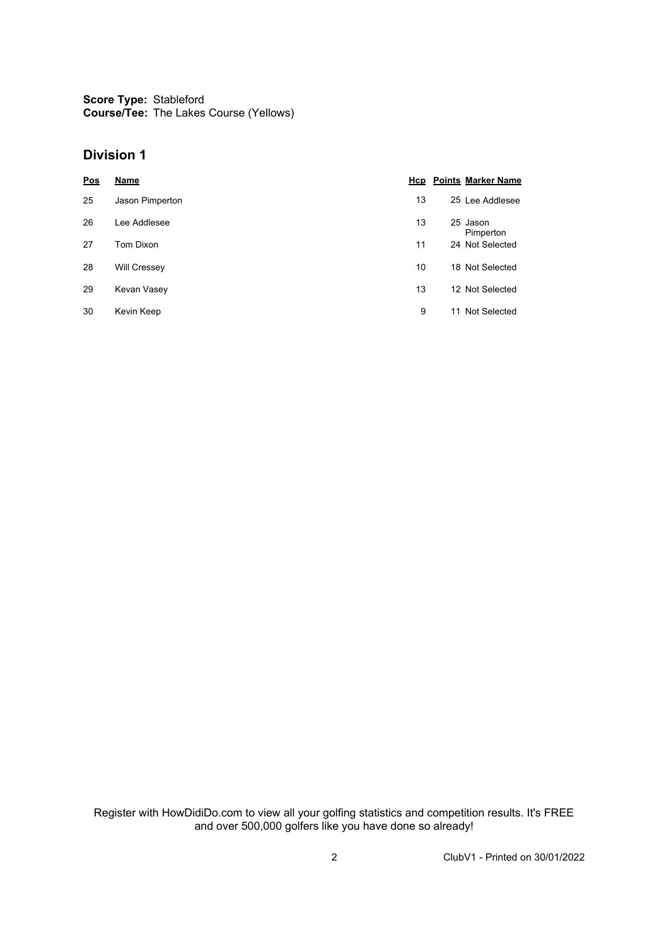**Score Type: Course/Tee:** Stableford The Lakes Course (Yellows)

#### **Division 1**

| Pos | <b>Name</b>         |    | <b>Hcp</b> Points Marker Name |
|-----|---------------------|----|-------------------------------|
| 25  | Jason Pimperton     | 13 | 25 Lee Addlesee               |
| 26  | Lee Addlesee        | 13 | 25 Jason<br>Pimperton         |
| 27  | Tom Dixon           | 11 | 24 Not Selected               |
| 28  | <b>Will Cressey</b> | 10 | 18 Not Selected               |
| 29  | Kevan Vasey         | 13 | 12 Not Selected               |
| 30  | Kevin Keep          | 9  | Not Selected<br>11            |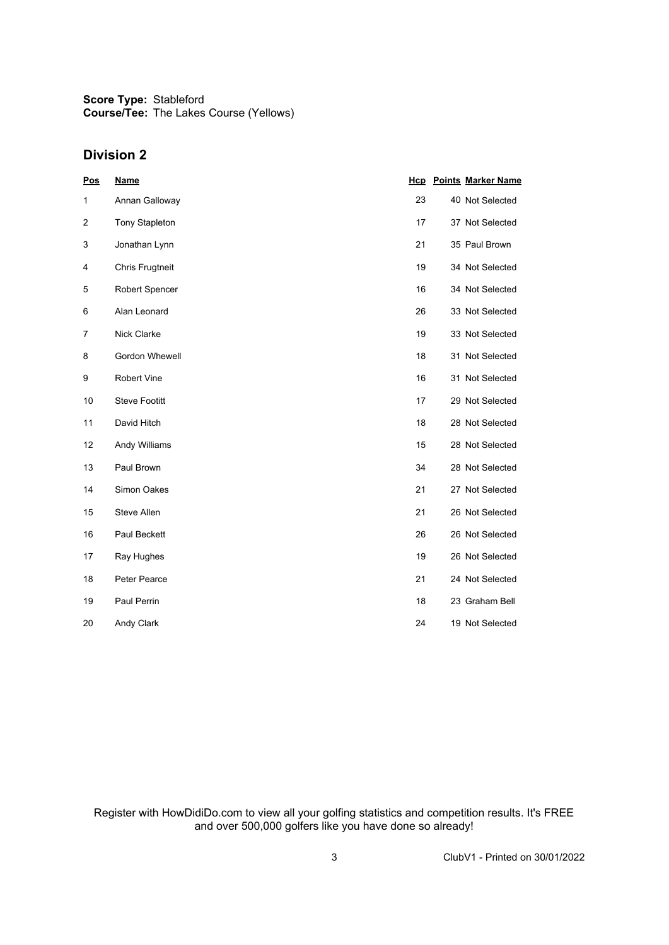**Score Type:** Stableford **Course/Tee:** The Lakes Course (Yellows)

### **Division 2**

| Pos            | <b>Name</b>            |    | <b>Hcp</b> Points Marker Name |
|----------------|------------------------|----|-------------------------------|
| 1              | Annan Galloway         | 23 | 40 Not Selected               |
| $\overline{2}$ | <b>Tony Stapleton</b>  | 17 | 37 Not Selected               |
| 3              | Jonathan Lynn          | 21 | 35 Paul Brown                 |
| 4              | <b>Chris Frugtneit</b> | 19 | 34 Not Selected               |
| 5              | Robert Spencer         | 16 | 34 Not Selected               |
| 6              | Alan Leonard           | 26 | 33 Not Selected               |
| 7              | Nick Clarke            | 19 | 33 Not Selected               |
| 8              | Gordon Whewell         | 18 | 31 Not Selected               |
| 9              | <b>Robert Vine</b>     | 16 | 31 Not Selected               |
| 10             | <b>Steve Footitt</b>   | 17 | 29 Not Selected               |
| 11             | David Hitch            | 18 | 28 Not Selected               |
| 12             | Andy Williams          | 15 | 28 Not Selected               |
| 13             | Paul Brown             | 34 | 28 Not Selected               |
| 14             | Simon Oakes            | 21 | 27 Not Selected               |
| 15             | Steve Allen            | 21 | 26 Not Selected               |
| 16             | Paul Beckett           | 26 | 26 Not Selected               |
| 17             | Ray Hughes             | 19 | 26 Not Selected               |
| 18             | Peter Pearce           | 21 | 24 Not Selected               |
| 19             | Paul Perrin            | 18 | 23 Graham Bell                |
| 20             | Andy Clark             | 24 | 19 Not Selected               |